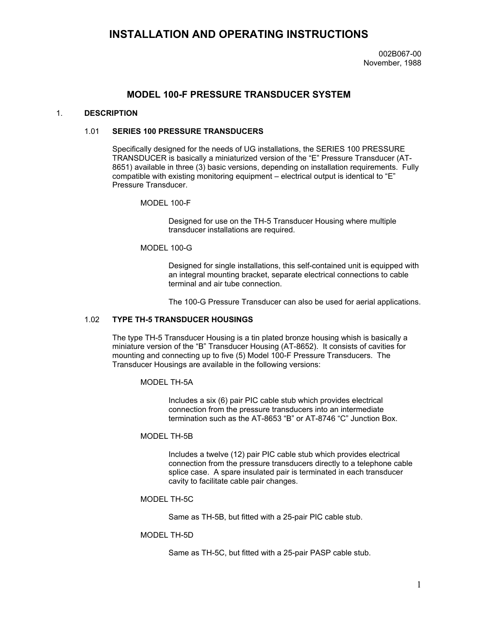# **INSTALLATION AND OPERATING INSTRUCTIONS**

## **MODEL 100-F PRESSURE TRANSDUCER SYSTEM**

### 1. **DESCRIPTION**

### 1.01 **SERIES 100 PRESSURE TRANSDUCERS**

Specifically designed for the needs of UG installations, the SERIES 100 PRESSURE TRANSDUCER is basically a miniaturized version of the "E" Pressure Transducer (AT-8651) available in three (3) basic versions, depending on installation requirements. Fully compatible with existing monitoring equipment – electrical output is identical to "E" Pressure Transducer.

MODEL 100-F

Designed for use on the TH-5 Transducer Housing where multiple transducer installations are required.

#### MODEL 100-G

Designed for single installations, this self-contained unit is equipped with an integral mounting bracket, separate electrical connections to cable terminal and air tube connection.

The 100-G Pressure Transducer can also be used for aerial applications.

## 1.02 **TYPE TH-5 TRANSDUCER HOUSINGS**

The type TH-5 Transducer Housing is a tin plated bronze housing whish is basically a miniature version of the "B" Transducer Housing (AT-8652). It consists of cavities for mounting and connecting up to five (5) Model 100-F Pressure Transducers. The Transducer Housings are available in the following versions:

MODEL TH-5A

Includes a six (6) pair PIC cable stub which provides electrical connection from the pressure transducers into an intermediate termination such as the AT-8653 "B" or AT-8746 "C" Junction Box.

MODEL TH-5B

Includes a twelve (12) pair PIC cable stub which provides electrical connection from the pressure transducers directly to a telephone cable splice case. A spare insulated pair is terminated in each transducer cavity to facilitate cable pair changes.

#### MODEL TH-5C

Same as TH-5B, but fitted with a 25-pair PIC cable stub.

#### MODEL TH-5D

Same as TH-5C, but fitted with a 25-pair PASP cable stub.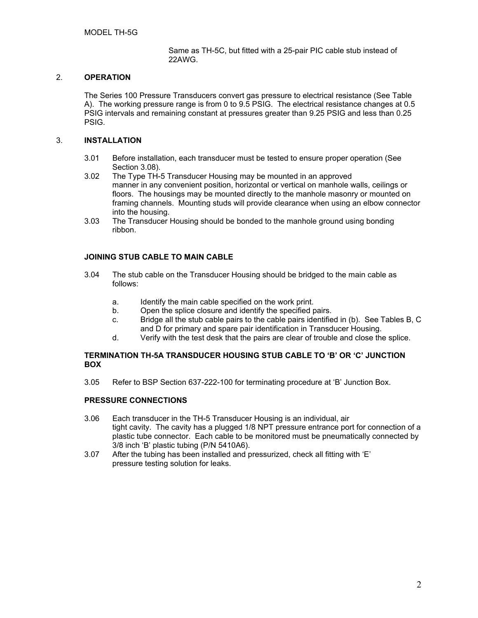Same as TH-5C, but fitted with a 25-pair PIC cable stub instead of 22AWG.

## 2. **OPERATION**

The Series 100 Pressure Transducers convert gas pressure to electrical resistance (See Table A). The working pressure range is from 0 to 9.5 PSIG. The electrical resistance changes at 0.5 PSIG intervals and remaining constant at pressures greater than 9.25 PSIG and less than 0.25 PSIG.

## 3. **INSTALLATION**

- 3.01 Before installation, each transducer must be tested to ensure proper operation (See Section 3.08).
- 3.02 The Type TH-5 Transducer Housing may be mounted in an approved manner in any convenient position, horizontal or vertical on manhole walls, ceilings or floors. The housings may be mounted directly to the manhole masonry or mounted on framing channels. Mounting studs will provide clearance when using an elbow connector into the housing.
- 3.03 The Transducer Housing should be bonded to the manhole ground using bonding ribbon.

## **JOINING STUB CABLE TO MAIN CABLE**

- 3.04 The stub cable on the Transducer Housing should be bridged to the main cable as follows:
	- a. Identify the main cable specified on the work print.
	- b. Open the splice closure and identify the specified pairs.
	- c. Bridge all the stub cable pairs to the cable pairs identified in (b). See Tables B, C and D for primary and spare pair identification in Transducer Housing.
	- d. Verify with the test desk that the pairs are clear of trouble and close the splice.

### **TERMINATION TH-5A TRANSDUCER HOUSING STUB CABLE TO 'B' OR 'C' JUNCTION BOX**

3.05 Refer to BSP Section 637-222-100 for terminating procedure at 'B' Junction Box.

#### **PRESSURE CONNECTIONS**

- 3.06 Each transducer in the TH-5 Transducer Housing is an individual, air tight cavity. The cavity has a plugged 1/8 NPT pressure entrance port for connection of a plastic tube connector. Each cable to be monitored must be pneumatically connected by 3/8 inch 'B' plastic tubing (P/N 5410A6).
- 3.07 After the tubing has been installed and pressurized, check all fitting with 'E' pressure testing solution for leaks.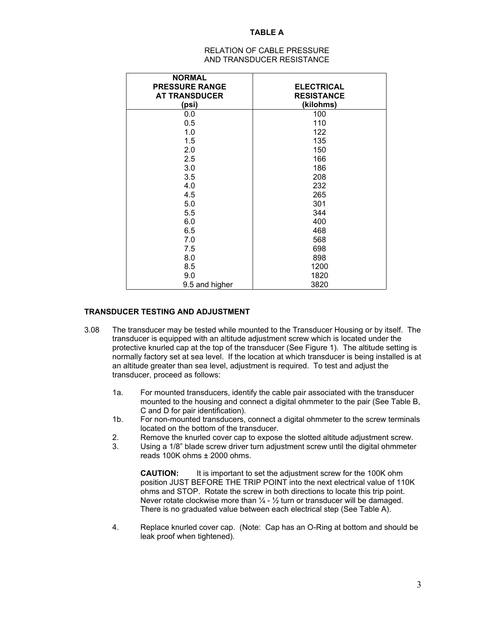#### **TABLE A**

#### RELATION OF CABLE PRESSURE AND TRANSDUCER RESISTANCE

| <b>NORMAL</b><br><b>PRESSURE RANGE</b><br><b>AT TRANSDUCER</b><br>(psi) | <b>ELECTRICAL</b><br><b>RESISTANCE</b><br>(kilohms) |
|-------------------------------------------------------------------------|-----------------------------------------------------|
| 0.0                                                                     | 100                                                 |
|                                                                         |                                                     |
| 0.5                                                                     | 110                                                 |
| 1.0                                                                     | 122                                                 |
| 1.5                                                                     | 135                                                 |
| 2.0                                                                     | 150                                                 |
| 2.5                                                                     | 166                                                 |
| 3.0                                                                     | 186                                                 |
| 3.5                                                                     | 208                                                 |
| 4.0                                                                     | 232                                                 |
| 4.5                                                                     | 265                                                 |
| 5.0                                                                     | 301                                                 |
| 5.5                                                                     | 344                                                 |
| 6.0                                                                     | 400                                                 |
| 6.5                                                                     | 468                                                 |
| 7.0                                                                     | 568                                                 |
| 7.5                                                                     | 698                                                 |
| 8.0                                                                     | 898                                                 |
| 8.5                                                                     | 1200                                                |
| 9.0                                                                     | 1820                                                |
| 9.5 and higher                                                          | 3820                                                |

#### **TRANSDUCER TESTING AND ADJUSTMENT**

- 3.08 The transducer may be tested while mounted to the Transducer Housing or by itself. The transducer is equipped with an altitude adjustment screw which is located under the protective knurled cap at the top of the transducer (See Figure 1). The altitude setting is normally factory set at sea level. If the location at which transducer is being installed is at an altitude greater than sea level, adjustment is required. To test and adjust the transducer, proceed as follows:
	- 1a. For mounted transducers, identify the cable pair associated with the transducer mounted to the housing and connect a digital ohmmeter to the pair (See Table B, C and D for pair identification).
	- 1b. For non-mounted transducers, connect a digital ohmmeter to the screw terminals located on the bottom of the transducer.
	- 2. Remove the knurled cover cap to expose the slotted altitude adjustment screw.
	- 3. Using a 1/8" blade screw driver turn adjustment screw until the digital ohmmeter reads 100K ohms ± 2000 ohms.

**CAUTION:** It is important to set the adjustment screw for the 100K ohm position JUST BEFORE THE TRIP POINT into the next electrical value of 110K ohms and STOP. Rotate the screw in both directions to locate this trip point. Never rotate clockwise more than  $\frac{1}{4}$  -  $\frac{1}{2}$  turn or transducer will be damaged. There is no graduated value between each electrical step (See Table A).

4. Replace knurled cover cap. (Note: Cap has an O-Ring at bottom and should be leak proof when tightened).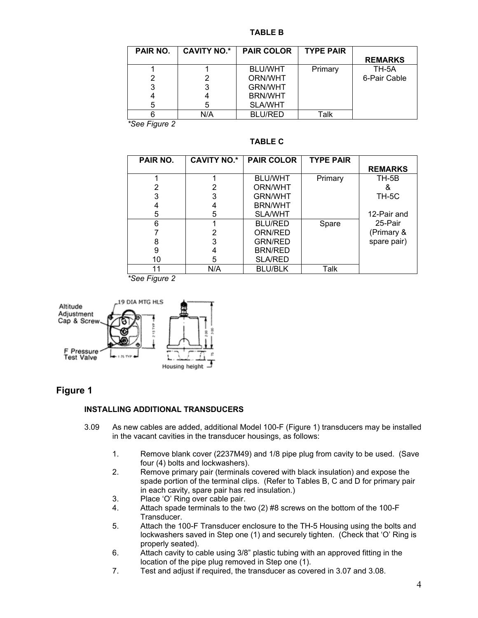### **TABLE B**

| PAIR NO. | <b>CAVITY NO.*</b> | <b>PAIR COLOR</b> | <b>TYPE PAIR</b> |                |
|----------|--------------------|-------------------|------------------|----------------|
|          |                    |                   |                  | <b>REMARKS</b> |
|          |                    | <b>BLU/WHT</b>    | Primary          | TH-5A          |
| 2        |                    | ORN/WHT           |                  | 6-Pair Cable   |
| 3        | 3                  | <b>GRN/WHT</b>    |                  |                |
| 4        |                    | <b>BRN/WHT</b>    |                  |                |
| 5        | 5                  | SLA/WHT           |                  |                |
|          | N/A                | <b>BLU/RED</b>    | Talk             |                |

*\*See Figure 2* 

**TABLE C** 

| PAIR NO. | <b>CAVITY NO.*</b> | <b>PAIR COLOR</b> | <b>TYPE PAIR</b> |                |
|----------|--------------------|-------------------|------------------|----------------|
|          |                    |                   |                  | <b>REMARKS</b> |
|          |                    | <b>BLU/WHT</b>    | Primary          | TH-5B          |
| 2        | 2                  | ORN/WHT           |                  | <u>&amp;</u>   |
| 3        | 3                  | <b>GRN/WHT</b>    |                  | TH-5C          |
|          | 4                  | <b>BRN/WHT</b>    |                  |                |
| 5        | 5                  | <b>SLA/WHT</b>    |                  | 12-Pair and    |
| 6        |                    | <b>BLU/RED</b>    | Spare            | 25-Pair        |
|          | 2                  | <b>ORN/RED</b>    |                  | (Primary &     |
| 8        | 3                  | <b>GRN/RED</b>    |                  | spare pair)    |
| 9        | 4                  | <b>BRN/RED</b>    |                  |                |
| 10       | 5                  | <b>SLA/RED</b>    |                  |                |
|          | N/A                | <b>BLU/BLK</b>    | Talk             |                |





## **Figure 1**

## **INSTALLING ADDITIONAL TRANSDUCERS**

- 3.09 As new cables are added, additional Model 100-F (Figure 1) transducers may be installed in the vacant cavities in the transducer housings, as follows:
	- 1. Remove blank cover (2237M49) and 1/8 pipe plug from cavity to be used. (Save four (4) bolts and lockwashers).
	- 2. Remove primary pair (terminals covered with black insulation) and expose the spade portion of the terminal clips. (Refer to Tables B, C and D for primary pair in each cavity, spare pair has red insulation.)
	- 3. Place 'O' Ring over cable pair.
	- 4. Attach spade terminals to the two (2) #8 screws on the bottom of the 100-F Transducer.
	- 5. Attach the 100-F Transducer enclosure to the TH-5 Housing using the bolts and lockwashers saved in Step one (1) and securely tighten. (Check that 'O' Ring is properly seated).
	- 6. Attach cavity to cable using 3/8" plastic tubing with an approved fitting in the location of the pipe plug removed in Step one (1).
	- 7. Test and adjust if required, the transducer as covered in 3.07 and 3.08.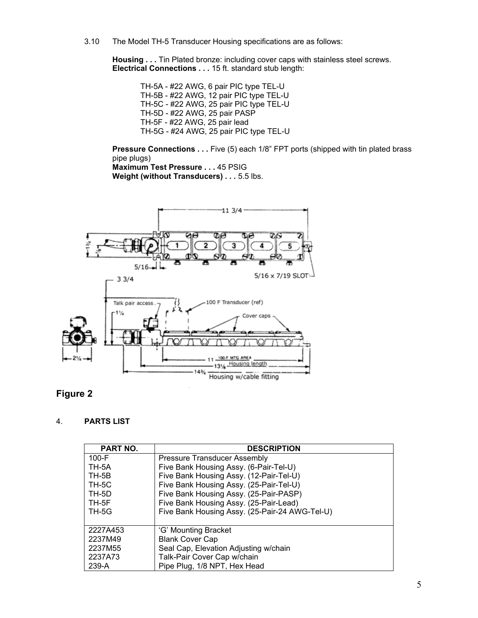3.10 The Model TH-5 Transducer Housing specifications are as follows:

**Housing . . .** Tin Plated bronze: including cover caps with stainless steel screws. **Electrical Connections . . .** 15 ft. standard stub length:

> TH-5A - #22 AWG, 6 pair PIC type TEL-U TH-5B - #22 AWG, 12 pair PIC type TEL-U TH-5C - #22 AWG, 25 pair PIC type TEL-U TH-5D - #22 AWG, 25 pair PASP TH-5F - #22 AWG, 25 pair lead TH-5G - #24 AWG, 25 pair PIC type TEL-U

**Pressure Connections ...** Five (5) each 1/8" FPT ports (shipped with tin plated brass pipe plugs) **Maximum Test Pressure . . .** 45 PSIG

**Weight (without Transducers) . . .** 5.5 lbs.



## **Figure 2**

## 4. **PARTS LIST**

| PART NO.     | <b>DESCRIPTION</b>                             |
|--------------|------------------------------------------------|
| 100-F        | <b>Pressure Transducer Assembly</b>            |
| TH-5A        | Five Bank Housing Assy. (6-Pair-Tel-U)         |
| TH-5B        | Five Bank Housing Assy. (12-Pair-Tel-U)        |
| TH-5C        | Five Bank Housing Assy. (25-Pair-Tel-U)        |
| TH-5D        | Five Bank Housing Assy. (25-Pair-PASP)         |
| TH-5F        | Five Bank Housing Assy. (25-Pair-Lead)         |
| <b>TH-5G</b> | Five Bank Housing Assy. (25-Pair-24 AWG-Tel-U) |
|              |                                                |
| 2227A453     | 'G' Mounting Bracket                           |
| 2237M49      | <b>Blank Cover Cap</b>                         |
| 2237M55      | Seal Cap, Elevation Adjusting w/chain          |
| 2237A73      | Talk-Pair Cover Cap w/chain                    |
| 239-A        | Pipe Plug, 1/8 NPT, Hex Head                   |